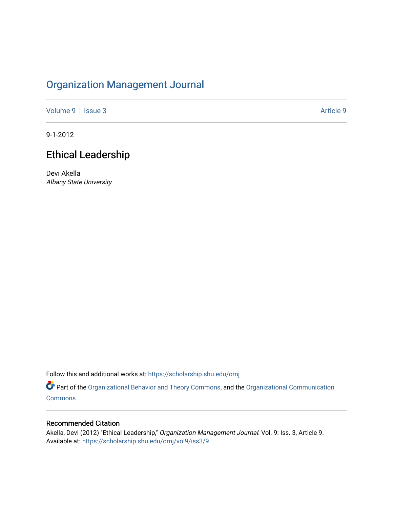# [Organization Management Journal](https://scholarship.shu.edu/omj)

[Volume 9](https://scholarship.shu.edu/omj/vol9) | [Issue 3](https://scholarship.shu.edu/omj/vol9/iss3) Article 9

9-1-2012

# Ethical Leadership

Devi Akella Albany State University

Follow this and additional works at: [https://scholarship.shu.edu/omj](https://scholarship.shu.edu/omj?utm_source=scholarship.shu.edu%2Fomj%2Fvol9%2Fiss3%2F9&utm_medium=PDF&utm_campaign=PDFCoverPages) 

Part of the [Organizational Behavior and Theory Commons,](http://network.bepress.com/hgg/discipline/639?utm_source=scholarship.shu.edu%2Fomj%2Fvol9%2Fiss3%2F9&utm_medium=PDF&utm_campaign=PDFCoverPages) and the [Organizational Communication](http://network.bepress.com/hgg/discipline/335?utm_source=scholarship.shu.edu%2Fomj%2Fvol9%2Fiss3%2F9&utm_medium=PDF&utm_campaign=PDFCoverPages) **[Commons](http://network.bepress.com/hgg/discipline/335?utm_source=scholarship.shu.edu%2Fomj%2Fvol9%2Fiss3%2F9&utm_medium=PDF&utm_campaign=PDFCoverPages)** 

#### Recommended Citation

Akella, Devi (2012) "Ethical Leadership," Organization Management Journal: Vol. 9: Iss. 3, Article 9. Available at: [https://scholarship.shu.edu/omj/vol9/iss3/9](https://scholarship.shu.edu/omj/vol9/iss3/9?utm_source=scholarship.shu.edu%2Fomj%2Fvol9%2Fiss3%2F9&utm_medium=PDF&utm_campaign=PDFCoverPages)